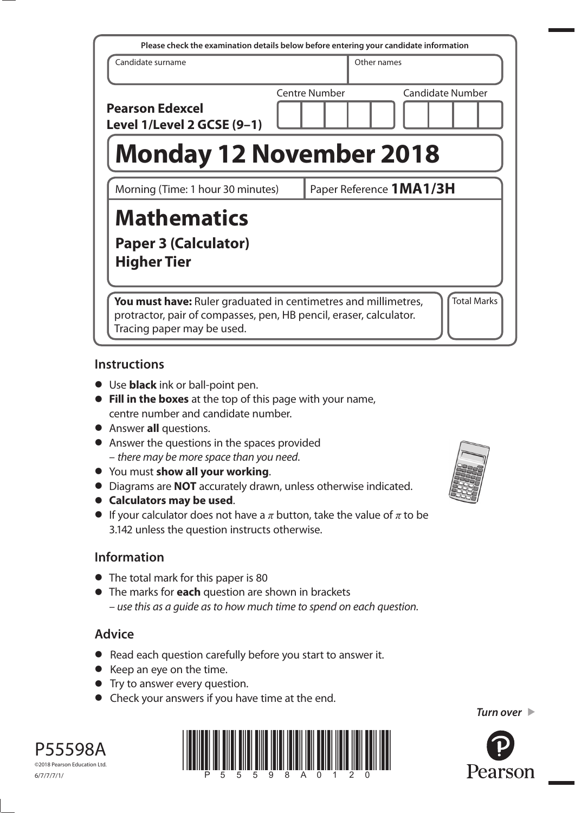| Please check the examination details below before entering your candidate information                                                                                                    |  |                         |             |                         |
|------------------------------------------------------------------------------------------------------------------------------------------------------------------------------------------|--|-------------------------|-------------|-------------------------|
| Candidate surname                                                                                                                                                                        |  |                         | Other names |                         |
| <b>Pearson Edexcel</b><br>Level 1/Level 2 GCSE (9-1)                                                                                                                                     |  | Centre Number           |             | <b>Candidate Number</b> |
| <b>Monday 12 November 2018</b>                                                                                                                                                           |  |                         |             |                         |
| Morning (Time: 1 hour 30 minutes)                                                                                                                                                        |  | Paper Reference 1MA1/3H |             |                         |
| <b>Mathematics</b><br><b>Paper 3 (Calculator)</b><br><b>Higher Tier</b>                                                                                                                  |  |                         |             |                         |
| <b>Total Marks</b><br>You must have: Ruler graduated in centimetres and millimetres,<br>protractor, pair of compasses, pen, HB pencil, eraser, calculator.<br>Tracing paper may be used. |  |                         |             |                         |

### **Instructions**

- **•** Use **black** ink or ball-point pen.
- **• Fill in the boxes** at the top of this page with your name, centre number and candidate number.
- **•** Answer **all** questions.
- **•** Answer the questions in the spaces provided – there may be more space than you need.
- **•** You must **show all your working**.
- **•** Diagrams are **NOT** accurately drawn, unless otherwise indicated.
- **• Calculators may be used**.
- If your calculator does not have a  $\pi$  button, take the value of  $\pi$  to be 3.142 unless the question instructs otherwise.

## **Information**

- **•** The total mark for this paper is 80
- **•** The marks for **each** question are shown in brackets – use this as a guide as to how much time to spend on each question.

## **Advice**

P55598A ©2018 Pearson Education Ltd.

- **•** Read each question carefully before you start to answer it.
- **•** Keep an eye on the time.
- **•** Try to answer every question.
- **•** Check your answers if you have time at the end.

 $\frac{1}{\frac{1}{2}}$   $\frac{1}{2}$   $\frac{1}{2}$   $\frac{1}{2}$   $\frac{1}{2}$   $\frac{1}{2}$   $\frac{1}{2}$   $\frac{1}{2}$   $\frac{1}{2}$   $\frac{1}{2}$   $\frac{1}{2}$   $\frac{1}{2}$   $\frac{1}{2}$   $\frac{1}{2}$   $\frac{1}{2}$   $\frac{1}{2}$   $\frac{1}{2}$   $\frac{1}{2}$   $\frac{1}{2}$   $\frac{1}{2}$   $\frac{1}{2}$   $\frac{1}{$ 



*Turn over* 

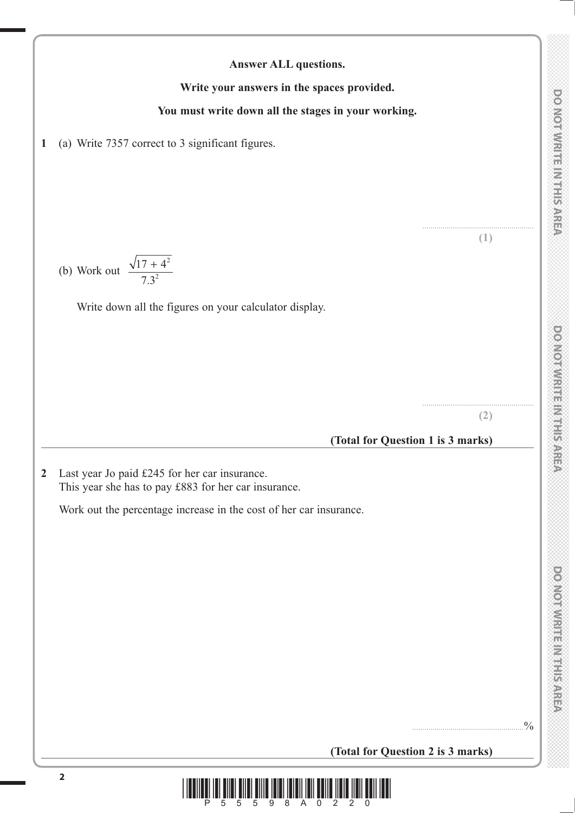....................................................... **(1)**

....................................................... **(2)**

**DO NOT WRITE IN THIS AREA** 

**(Total for Question 1 is 3 marks)**

**Answer ALL questions.**

**Write your answers in the spaces provided.**

**You must write down all the stages in your working.**

**2** Last year Jo paid £245 for her car insurance. This year she has to pay £883 for her car insurance.

**1** (a) Write 7357 correct to 3 significant figures.

2

Write down all the figures on your calculator display.

2 + .

(b) Work out  $\frac{\sqrt{17 + 4}}{7.3^2}$ 

Work out the percentage increase in the cost of her car insurance.

**(Total for Question 2 is 3 marks)**

.......................................................%

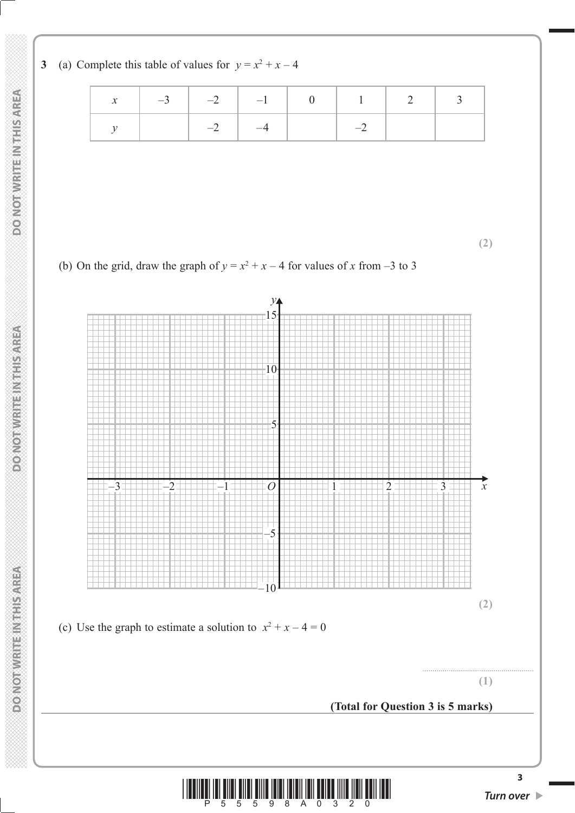**3** (a) Complete this table of values for  $y = x^2 + x - 4$ 

|  | $-3$ $-2$ $-1$ $-1$ 0 1 2 3 |  |  |
|--|-----------------------------|--|--|
|  | $\overline{\phantom{a}}$    |  |  |

**(2)**





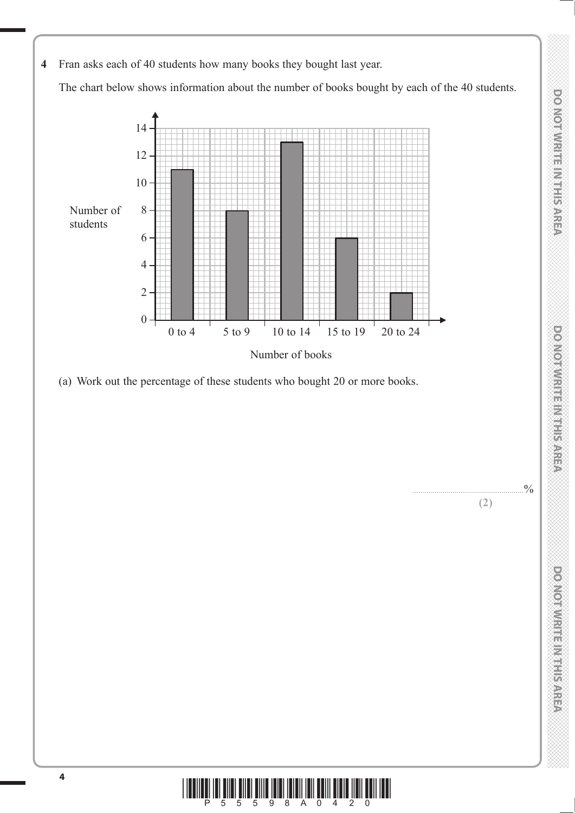**THIS AREA DO NOT WRITE IN THIS AREA DO NOT WRITE IN THIS AREA DO NOT WRITE IN THIS AREA DO NOT WRITE IN THIS AREA DO NOT WRITE IN THIS AREA DO NOT WRITE IN THE INTERNATIONAL CONTINUES.** DO NOT WIRTE IN THIS AREA

**(2)**

DONOINVERTE MILLION 00

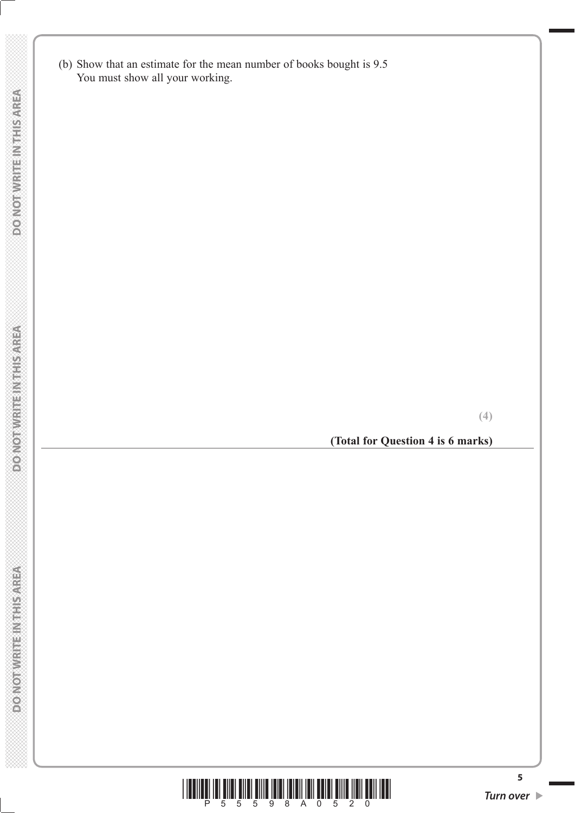(b) Show that an estimate for the mean number of books bought is 9.5 You must show all your working.

**(Total for Question 4 is 6 marks)**

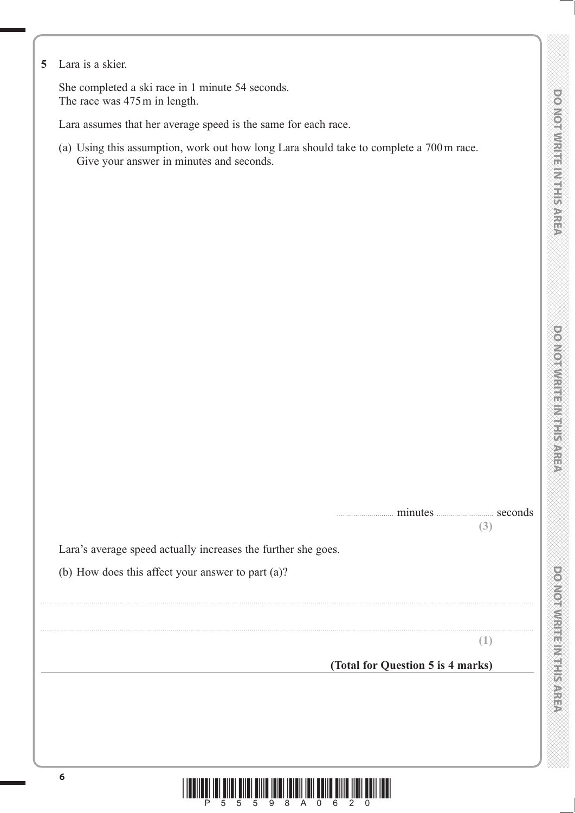**DOOMORATION ENGINEERING** 

**5** Lara is a skier.

 She completed a ski race in 1 minute 54 seconds. The race was 475 m in length.

Lara assumes that her average speed is the same for each race.

 (a) Using this assumption, work out how long Lara should take to complete a 700 m race. Give your answer in minutes and seconds.

| minutes | seconds |  |
|---------|---------|--|
|         | (3      |  |

Lara's average speed actually increases the further she goes.

(b) How does this affect your answer to part (a)?

**(1)**

 **(Total for Question 5 is 4 marks)**



...................................................................................................................................................................................................................................................

...................................................................................................................................................................................................................................................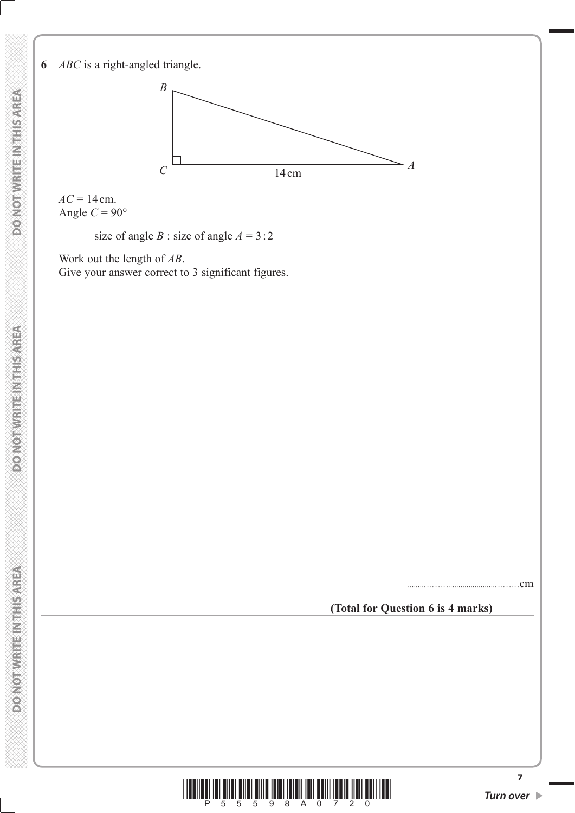**6** *ABC* is a right-angled triangle.



 $AC = 14$  cm. Angle  $C = 90^\circ$ 

size of angle *B* : size of angle  $A = 3:2$ 

 Work out the length of *AB*. Give your answer correct to 3 significant figures.



#### **(Total for Question 6 is 4 marks)**

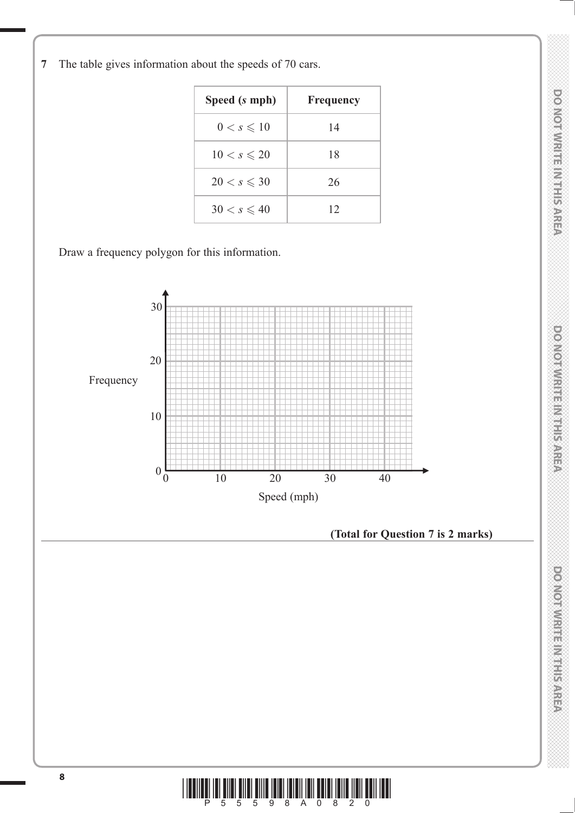**DONOIWRITEIN HEAREA** 

**Speed (***s* **mph) Frequency**  $0 < s \leq 10$  14  $10 < s \le 20$  18  $20 < s \leqslant 30$  26  $30 < s \leq 40$  | 12 Draw a frequency polygon for this information. 30 20 10  $0\frac{E}{0}$ Frequency Speed (mph) 0 10 20 30 40 **(Total for Question 7 is 2 marks)**

**7** The table gives information about the speeds of 70 cars.

\*P55598A0820\*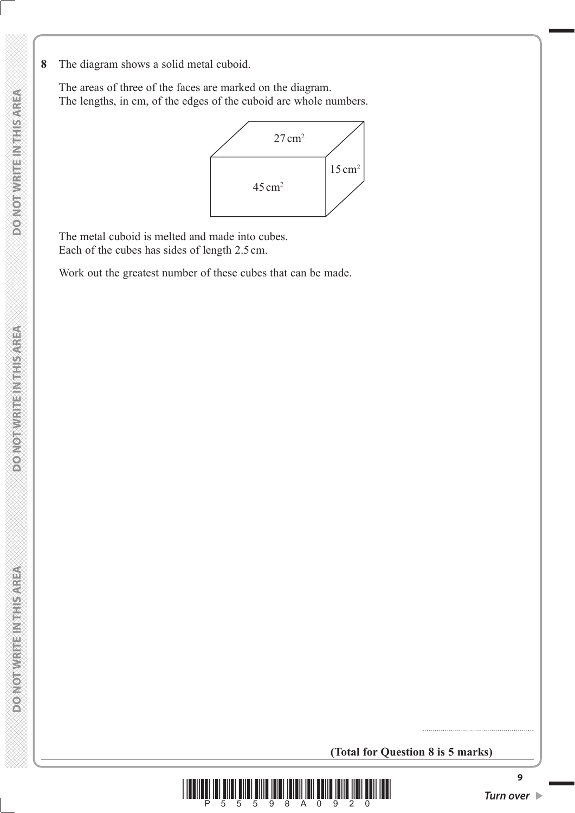**8** The diagram shows a solid metal cuboid.

 The areas of three of the faces are marked on the diagram. The lengths, in cm, of the edges of the cuboid are whole numbers.



 The metal cuboid is melted and made into cubes. Each of the cubes has sides of length 2.5 cm.

Work out the greatest number of these cubes that can be made.

**(Total for Question 8 is 5 marks)**



.......................................................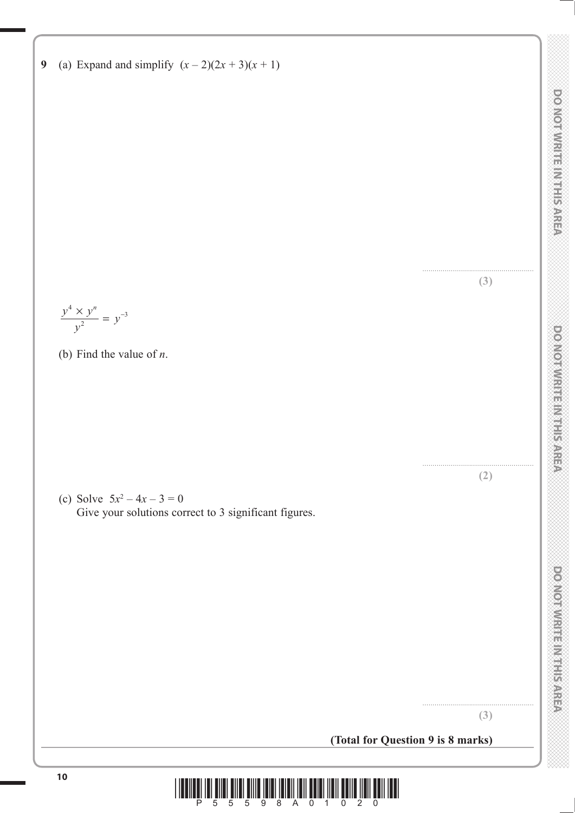....................................................... **(3)**

....................................................... **(2)**

....................................................... **(3)**

**9** (a) Expand and simplify  $(x - 2)(2x + 3)(x + 1)$ 

$$
\frac{y^4 \times y^n}{y^2} = y^{-3}
$$

(b) Find the value of *n*.

(c) Solve  $5x^2 - 4x - 3 = 0$ Give your solutions correct to 3 significant figures.

**(Total for Question 9 is 8 marks)**

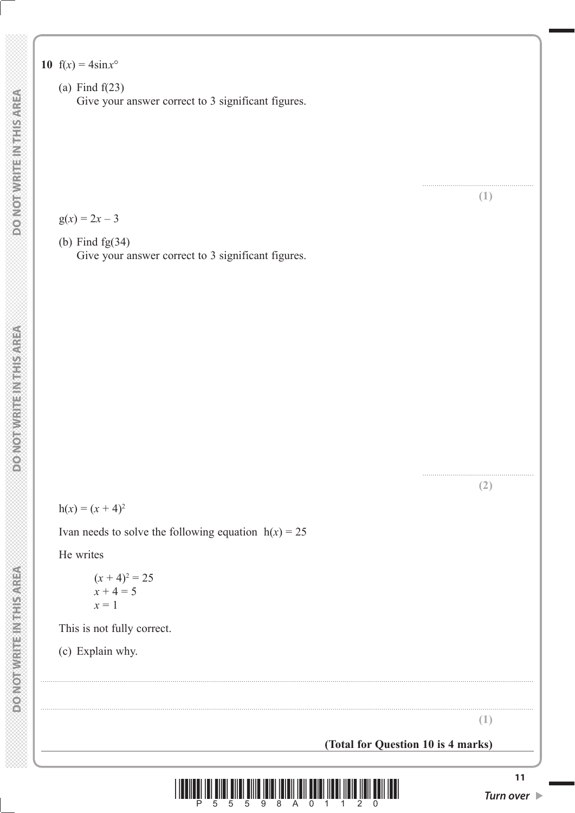**10**  $f(x) = 4\sin x^{\circ}$ 

 (a) Find f(23) Give your answer correct to 3 significant figures.

 $g(x) = 2x - 3$ 

 (b) Find fg(34) Give your answer correct to 3 significant figures.

 $h(x) = (x + 4)^2$ 

Ivan needs to solve the following equation  $h(x) = 25$ 

He writes

 $(x+4)^2 = 25$  $x + 4 = 5$  $x = 1$ 

This is not fully correct.

(c) Explain why.

**(1)**

....................................................... **(1)**

....................................................... **(2)**

**(Total for Question 10 is 4 marks)**



...................................................................................................................................................................................................................................................

...................................................................................................................................................................................................................................................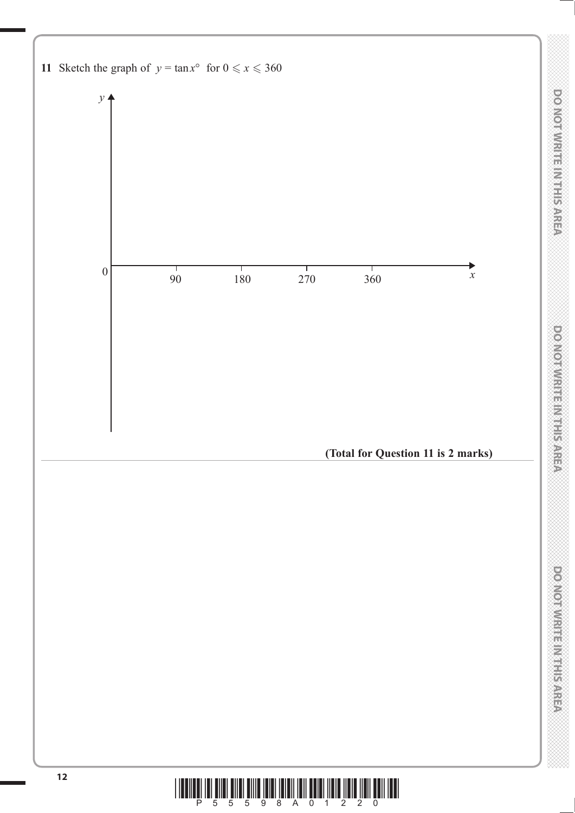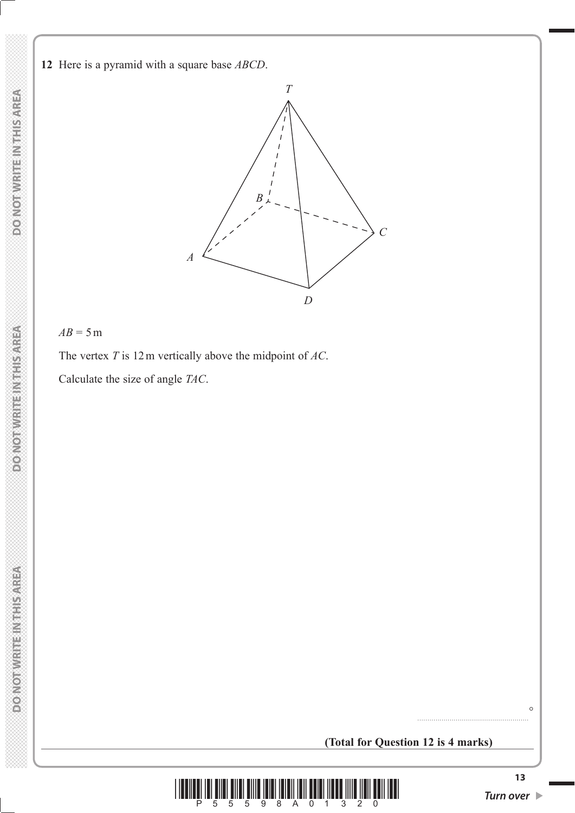**DOMOTIVRITE INTHIS AREA** 

**DO NOT WRITEIN THIS AREA** 



## $AB = 5m$

The vertex *T* is 12 m vertically above the midpoint of *AC*.

Calculate the size of angle *TAC*.

## **(Total for Question 12 is 4 marks)**



 $\circ$ 

.......................................................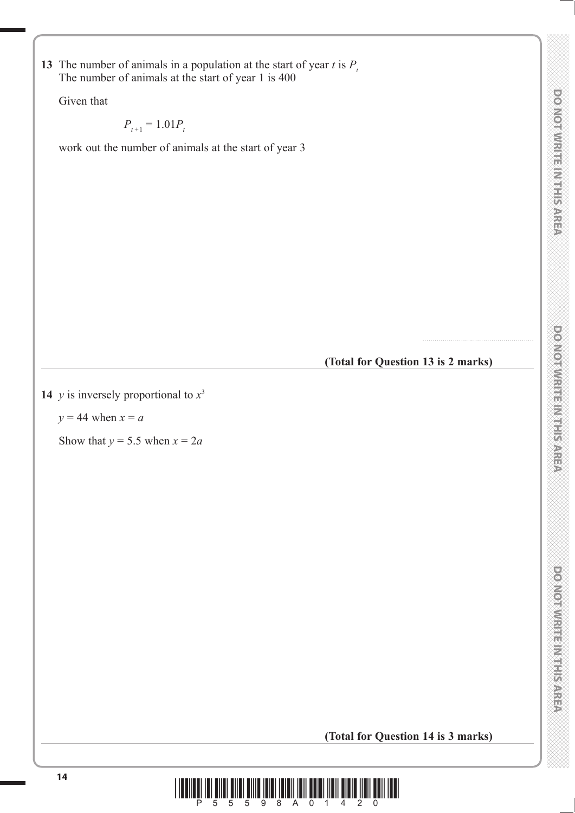**13** The number of animals in a population at the start of year *t* is  $P_t$ The number of animals at the start of year 1 is 400

Given that

 $P_{t+1} = 1.01 P_{t}$ 

work out the number of animals at the start of year 3

**(Total for Question 13 is 2 marks)**

.......................................................

**14** *y* is inversely proportional to  $x^3$ 

 $y = 44$  when  $x = a$ 

Show that  $y = 5.5$  when  $x = 2a$ 

**(Total for Question 14 is 3 marks)**

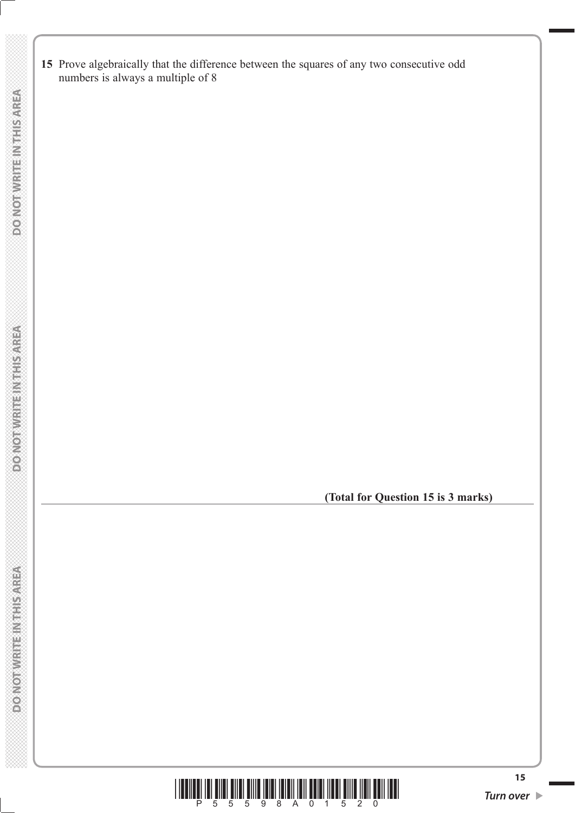**15** Prove algebraically that the difference between the squares of any two consecutive odd numbers is always a multiple of 8

**(Total for Question 15 is 3 marks)**



**DOMOTWIREINTHISMREA** 

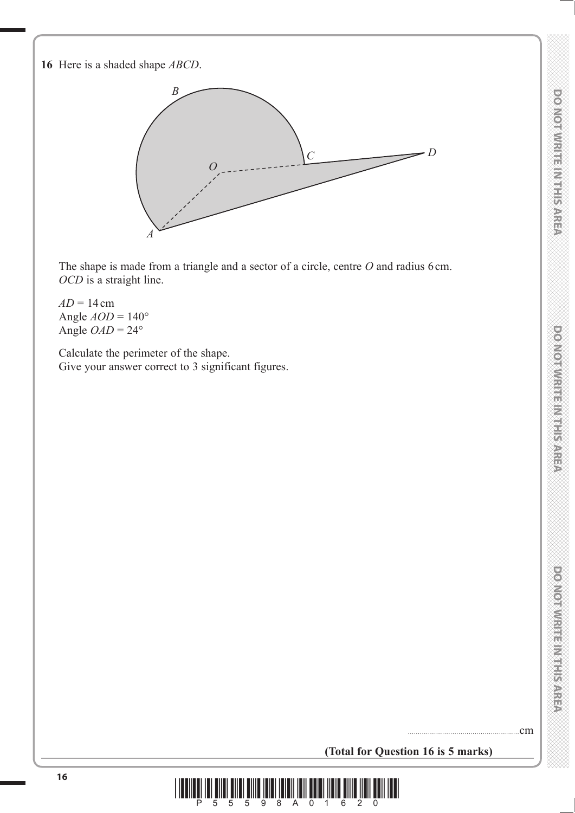**16** Here is a shaded shape *ABCD*.



The shape is made from a triangle and a sector of a circle, centre O and radius 6 cm. *OCD* is a straight line.

 $AD = 14$  cm Angle *AOD* = 140° Angle  $OAD = 24^\circ$ 

 Calculate the perimeter of the shape. Give your answer correct to 3 significant figures.

**(Total for Question 16 is 5 marks)**

.......................................................cm

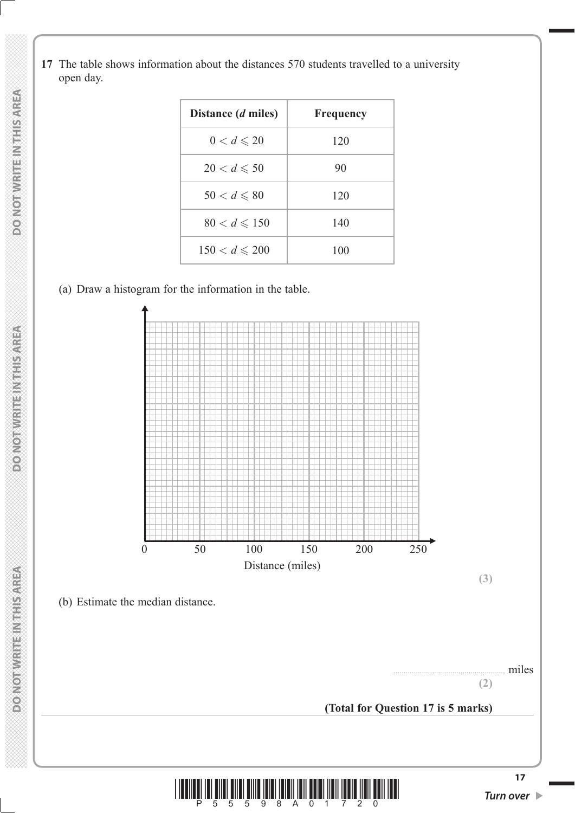**17** The table shows information about the distances 570 students travelled to a university open day.

| Distance ( <i>d</i> miles) | <b>Frequency</b> |
|----------------------------|------------------|
| $0 < d \leqslant 20$       | 120              |
| $20 < d \leqslant 50$      | 90               |
| $50 < d \le 80$            | 120              |
| $80 < d \le 150$           | 140              |
| $150 < d \le 200$          | 100              |

(a) Draw a histogram for the information in the table.

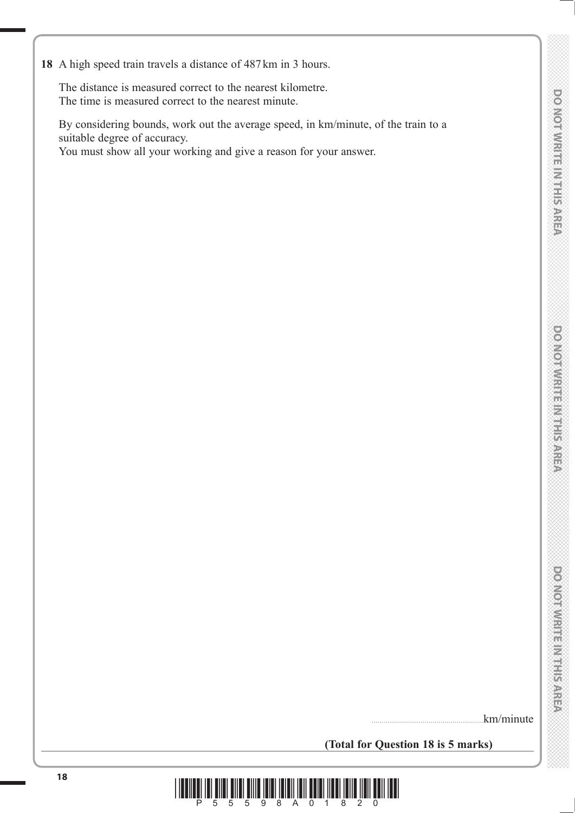**18** A high speed train travels a distance of 487 km in 3 hours.

 The distance is measured correct to the nearest kilometre. The time is measured correct to the nearest minute.

 By considering bounds, work out the average speed, in km/minute, of the train to a suitable degree of accuracy.

You must show all your working and give a reason for your answer.

.km/minute

**(Total for Question 18 is 5 marks)**

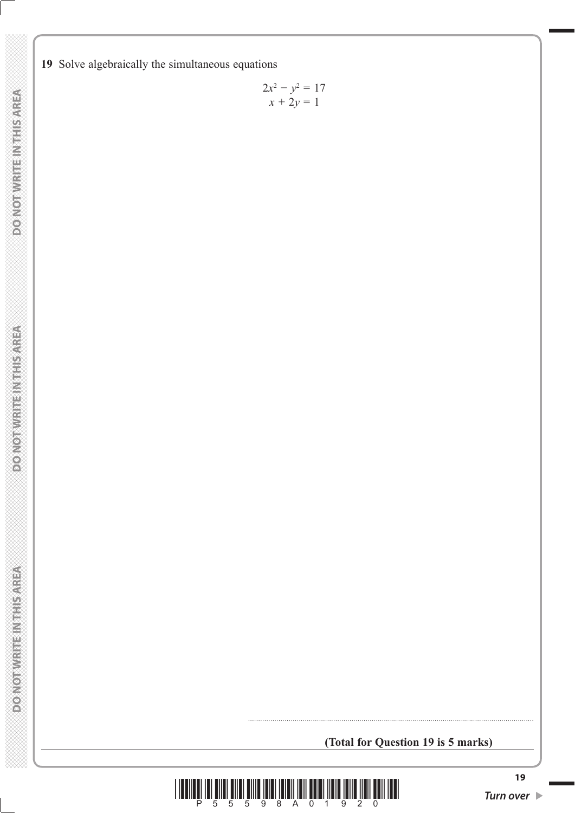**19** Solve algebraically the simultaneous equations

$$
2x^2 - y^2 = 17
$$
  

$$
x + 2y = 1
$$

**(Total for Question 19 is 5 marks)**

.............................................................................................................................................